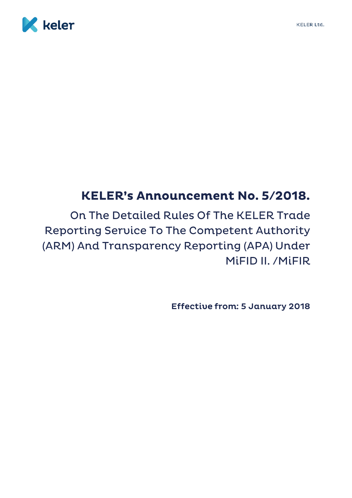



# **KELER's Announcement No. 5/2018.**

On The Detailed Rules Of The KELER Trade **Reporting Service To The Competent Authority** (ARM) And Transparency Reporting (APA) Under MİFID II. / MİFIR

**Effective from: 5 January 2018**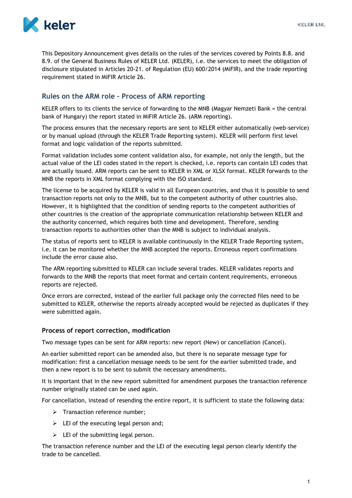

This Depository Announcement gives details on the rules of the services covered by Points 8.8. and 8.9. of the General Business Rules of KELER Ltd. (KELER), i.e. the services to meet the obligation of disclosure stipulated in Articles 20-21. of Regulation (EU) 600/2014 (MiFIR), and the trade reporting requirement stated in MiFIR Article 26.

# **Rules on the ARM role – Process of ARM reporting**

KELER offers to its clients the service of forwarding to the MNB (Magyar Nemzeti Bank = the central bank of Hungary) the report stated in MiFIR Article 26. (ARM reporting).

The process ensures that the necessary reports are sent to KELER either automatically (web-service) or by manual upload (through the KELER Trade Reporting system). KELER will perform first level format and logic validation of the reports submitted.

Format validation includes some content validation also, for example, not only the length, but the actual value of the LEI codes stated in the report is checked, i.e. reports can contain LEI codes that are actually issued. ARM reports can be sent to KELER in XML or XLSX format. KELER forwards to the MNB the reports in XML format complying with the ISO standard.

The license to be acquired by KELER is valid in all European countries, and thus it is possible to send transaction reports not only to the MNB, but to the competent authority of other countries also. However, it is highlighted that the condition of sending reports to the competent authorities of other countries is the creation of the appropriate communication relationship between KELER and the authority concerned, which requires both time and development. Therefore, sending transaction reports to authorities other than the MNB is subject to individual analysis.

The status of reports sent to KELER is available continuously in the KELER Trade Reporting system, i.e. it can be monitored whether the MNB accepted the reports. Erroneous report confirmations include the error cause also.

The ARM reporting submitted to KELER can include several trades. KELER validates reports and forwards to the MNB the reports that meet format and certain content requirements, erroneous reports are rejected.

Once errors are corrected, instead of the earlier full package only the corrected files need to be submitted to KELER, otherwise the reports already accepted would be rejected as duplicates if they were submitted again.

#### **Process of report correction, modification**

Two message types can be sent for ARM reports: new report (New) or cancellation (Cancel).

An earlier submitted report can be amended also, but there is no separate message type for modification: first a cancellation message needs to be sent for the earlier submitted trade, and then a new report is to be sent to submit the necessary amendments.

It is important that in the new report submitted for amendment purposes the transaction reference number originally stated can be used again.

For cancellation, instead of resending the entire report, it is sufficient to state the following data:

- > Transaction reference number;
- $\triangleright$  LEI of the executing legal person and;
- $\triangleright$  LEI of the submitting legal person.

The transaction reference number and the LEI of the executing legal person clearly identify the trade to be cancelled.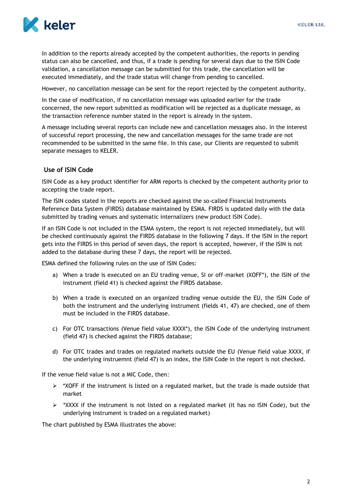

In addition to the reports already accepted by the competent authorities, the reports in pending status can also be cancelled, and thus, if a trade is pending for several days due to the ISIN Code validation, a cancellation message can be submitted for this trade, the cancellation will be executed immediately, and the trade status will change from pending to cancelled.

However, no cancellation message can be sent for the report rejected by the competent authority.

In the case of modification, if no cancellation message was uploaded earlier for the trade concerned, the new report submitted as modification will be rejected as a duplicate message, as the transaction reference number stated in the report is already in the system.

A message including several reports can include new and cancellation messages also. In the interest of successful report processing, the new and cancellation messages for the same trade are not recommended to be submitted in the same file. In this case, our Clients are requested to submit separate messages to KELER.

# **Use of ISIN Code**

ISIN Code as a key product identifier for ARM reports is checked by the competent authority prior to accepting the trade report.

The ISIN codes stated in the reports are checked against the so-called Financial Instruments Reference Data System (FIRDS) database maintained by ESMA. FIRDS is updated daily with the data submitted by trading venues and systematic internalizers (new product ISIN Code).

If an ISIN Code is not included in the ESMA system, the report is not rejected immediately, but will be checked continuously against the FIRDS database in the following 7 days. If the ISIN in the report gets into the FIRDS in this period of seven days, the report is accepted, however, if the ISIN is not added to the database during these 7 days, the report will be rejected.

ESMA defined the following rules on the use of ISIN Codes:

- a) When a trade is executed on an EU trading venue, SI or off-market (XOFF\*), the ISIN of the instrument (field 41) is checked against the FIRDS database.
- b) When a trade is executed on an organized trading venue outside the EU, the ISIN Code of both the instrument and the underlying instrument (fields 41, 47) are checked, one of them must be included in the FIRDS database.
- c) For OTC transactions (Venue field value XXXX\*), the ISIN Code of the underlying instrument (field 47) is checked against the FIRDS database;
- d) For OTC trades and trades on regulated markets outside the EU (Venue field value XXXX, if the underlying instruemnt (field 47) is an index, the ISIN Code in the report is not checked.

If the venue field value is not a MIC Code, then:

- $\triangleright$  \*XOFF if the instrument is listed on a regulated market, but the trade is made outside that market
- $\triangleright$  \*XXXX if the instrument is not listed on a regulated market (it has no ISIN Code), but the underlying instrument is traded on a regulated market)

The chart published by ESMA illustrates the above: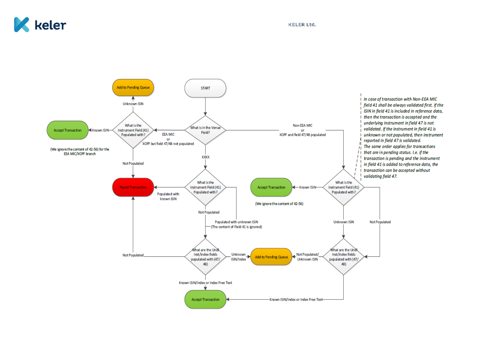

**KELER Ltd.** 

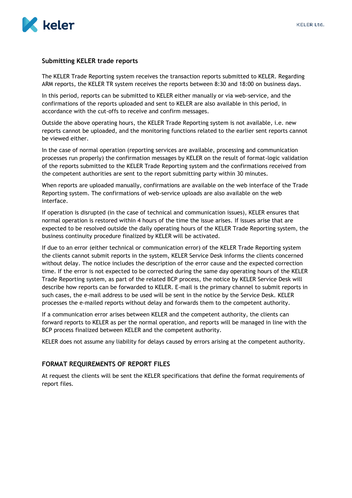

#### **Submitting KELER trade reports**

The KELER Trade Reporting system receives the transaction reports submitted to KELER. Regarding ARM reports, the KELER TR system receives the reports between 8:30 and 18:00 on business days.

In this period, reports can be submitted to KELER either manually or via web-service, and the confirmations of the reports uploaded and sent to KELER are also available in this period, in accordance with the cut-offs to receive and confirm messages.

Outside the above operating hours, the KELER Trade Reporting system is not available, i.e. new reports cannot be uploaded, and the monitoring functions related to the earlier sent reports cannot be viewed either.

In the case of normal operation (reporting services are available, processing and communication processes run properly) the confirmation messages by KELER on the result of format-logic validation of the reports submitted to the KELER Trade Reporting system and the confirmations received from the competent authorities are sent to the report submitting party within 30 minutes.

When reports are uploaded manually, confirmations are available on the web interface of the Trade Reporting system. The confirmations of web-service uploads are also available on the web interface.

If operation is disrupted (in the case of technical and communication issues), KELER ensures that normal operation is restored within 4 hours of the time the issue arises. If issues arise that are expected to be resolved outside the daily operating hours of the KELER Trade Reporting system, the business continuity procedure finalized by KELER will be activated.

If due to an error (either technical or communication error) of the KELER Trade Reporting system the clients cannot submit reports in the system, KELER Service Desk informs the clients concerned without delay. The notice includes the description of the error cause and the expected correction time. If the error is not expected to be corrected during the same day operating hours of the KELER Trade Reporting system, as part of the related BCP process, the notice by KELER Service Desk will describe how reports can be forwarded to KELER. E-mail is the primary channel to submit reports in such cases, the e-mail address to be used will be sent in the notice by the Service Desk. KELER processes the e-mailed reports without delay and forwards them to the competent authority.

If a communication error arises between KELER and the competent authority, the clients can forward reports to KELER as per the normal operation, and reports will be managed in line with the BCP process finalized between KELER and the competent authority.

KELER does not assume any liability for delays caused by errors arising at the competent authority.

#### **FORMAT REQUIREMENTS OF REPORT FILES**

At request the clients will be sent the KELER specifications that define the format requirements of report files.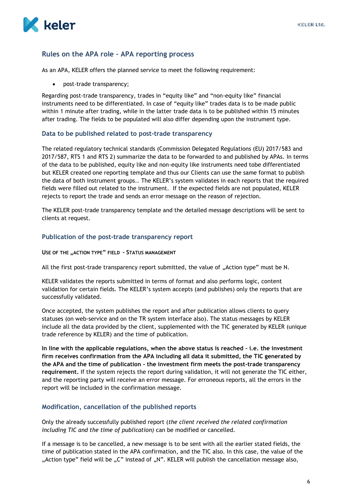# **Rules on the APA role – APA reporting process**

As an APA, KELER offers the planned service to meet the following requirement:

• post-trade transparency;

Regarding post-trade transparency, trades in "equity like" and "non-equity like" financial instruments need to be differentiated. In case of "equity like" trades data is to be made public within 1 minute after trading, while in the latter trade data is to be published within 15 minutes after trading. The fields to be populated will also differ depending upon the instrument type.

#### **Data to be published related to post-trade transparency**

The related regulatory technical standards (Commission Delegated Regulations (EU) 2017/583 and 2017/587, RTS 1 and RTS 2) summarize the data to be forwarded to and published by APAs. In terms of the data to be published, equity like and non-equity like instruments need tobe differentiated but KELER created one reporting template and thus our Clients can use the same format to publish the data of both instrument groups.. The KELER's system validates in each reports that the required fields were filled out related to the instrument. If the expected fields are not populated, KELER rejects to report the trade and sends an error message on the reason of rejection.

The KELER post-trade transparency template and the detailed message descriptions will be sent to clients at request.

#### **Publication of the post-trade transparency report**

**USE OF THE "ACTION TYPE" FIELD – STATUS MANAGEMENT**

All the first post-trade transparency report submitted, the value of "Action type" must be N.

KELER validates the reports submitted in terms of format and also performs logic, content validation for certain fields. The KELER's system accepts (and publishes) only the reports that are successfully validated.

Once accepted, the system publishes the report and after publication allows clients to query statuses (on web-service and on the TR system interface also). The status messages by KELER include all the data provided by the client, supplemented with the TIC generated by KELER (unique trade reference by KELER) and the time of publication.

**In line with the applicable regulations, when the above status is reached – i.e. the investment firm receives confirmation from the APA including all data it submitted, the TIC generated by the APA and the time of publication - the investment firm meets the post-trade transparency requirement.** If the system rejects the report during validation, it will not generate the TIC either, and the reporting party will receive an error message. For erroneous reports, all the errors in the report will be included in the confirmation message.

#### **Modification, cancellation of the published reports**

Only the already successfully published report (*the client received the related confirmation including TIC and the time of publication)* can be modified or cancelled.

If a message is to be cancelled, a new message is to be sent with all the earlier stated fields, the time of publication stated in the APA confirmation, and the TIC also. In this case, the value of the "Action type" field will be  $C$ " instead of  $R$ <sup>N"</sup>. KELER will publish the cancellation message also,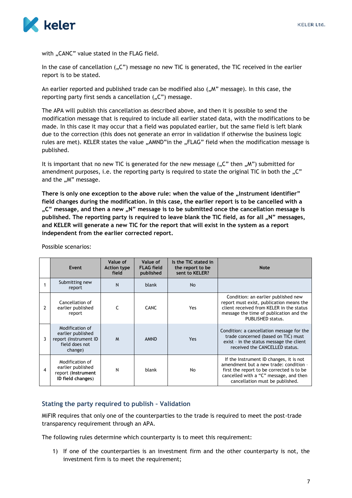

with "CANC" value stated in the FLAG field.

In the case of cancellation  $\mathcal{L}$ ") message no new TIC is generated, the TIC received in the earlier report is to be stated.

An earlier reported and published trade can be modified also  $($ "M" message). In this case, the reporting party first sends a cancellation  $($ "C") message.

The APA will publish this cancellation as described above, and then it is possible to send the modification message that is required to include all earlier stated data, with the modifications to be made. In this case it may occur that a field was populated earlier, but the same field is left blank due to the correction (this does not generate an error in validation if otherwise the business logic rules are met). KELER states the value "AMND" in the "FLAG" field when the modification message is published.

It is important that no new TIC is generated for the new message  $(0,0)$  then  $(0,0)$  submitted for amendment purposes, i.e. the reporting party is required to state the original TIC in both the "C" and the "M" message.

There is only one exception to the above rule: when the value of the "Instrument identifier" **field changes during the modification. In this case, the earlier report is to be cancelled with a**  "C" message, and then a new "N" message is to be submitted once the cancellation message is published. The reporting party is required to leave blank the TIC field, as for all "N" messages, **and KELER will generate a new TIC for the report that will exist in the system as a report independent from the earlier corrected report.** 

|   | Event                                                                                      | Value of<br><b>Action type</b><br>field | Value of<br><b>FLAG</b> field<br>published | Is the TIC stated in<br>the report to be<br>sent to KELER? | <b>Note</b>                                                                                                                                                                                                 |
|---|--------------------------------------------------------------------------------------------|-----------------------------------------|--------------------------------------------|------------------------------------------------------------|-------------------------------------------------------------------------------------------------------------------------------------------------------------------------------------------------------------|
|   | Submitting new<br>report                                                                   | N                                       | blank                                      | <b>No</b>                                                  |                                                                                                                                                                                                             |
| 2 | Cancellation of<br>earlier published<br>report                                             | $\epsilon$                              | <b>CANC</b>                                | Yes                                                        | Condition: an earlier published new<br>report must exist, publication means the<br>client received from KELER in the status<br>message the time of publication and the<br>PUBLISHED status.                 |
| ٦ | Modification of<br>earlier published<br>report (Instrument ID<br>field does not<br>change) | M                                       | <b>AMND</b>                                | Yes                                                        | Condition: a cancellation message for the<br>trade concerned (based on TIC) must<br>exist - in the status message the client<br>received the CANCELLED status.                                              |
| 4 | Modification of<br>earlier published<br>report (Instrument<br>ID field changes)            | N                                       | blank                                      | No                                                         | If the Instrument ID changes, it is not<br>amendment but a new trade: condition -<br>first the report to be corrected is to be<br>cancelled with a "C" message, and then<br>cancellation must be published. |

Possible scenarios:

#### **Stating the party required to publish – Validation**

MiFIR requires that only one of the counterparties to the trade is required to meet the post-trade transparency requirement through an APA.

The following rules determine which counterparty is to meet this requirement:

1) If one of the counterparties is an investment firm and the other counterparty is not, the investment firm is to meet the requirement;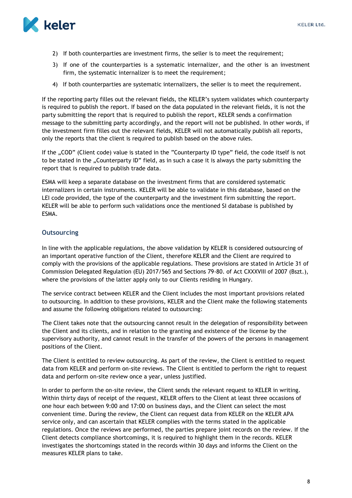

- 2) If both counterparties are investment firms, the seller is to meet the requirement;
- 3) If one of the counterparties is a systematic internalizer, and the other is an investment firm, the systematic internalizer is to meet the requirement;
- 4) If both counterparties are systematic internalizers, the seller is to meet the requirement.

If the reporting party filles out the relevant fields, the KELER's system validates which counterparty is required to publish the report. If based on the data populated in the relevant fields, it is not the party submitting the report that is required to publish the report, KELER sends a confirmation message to the submitting party accordingly, and the report will not be published. In other words, if the investment firm filles out the relevant fields, KELER will not automatically publish all reports, only the reports that the client is required to publish based on the above rules.

If the "COD" (Client code) value is stated in the "Counterparty ID type" field, the code itself is not to be stated in the "Counterparty ID" field, as in such a case it is always the party submitting the report that is required to publish trade data.

ESMA will keep a separate database on the investment firms that are considered systematic internalizers in certain instruments. KELER will be able to validate in this database, based on the LEI code provided, the type of the counterparty and the investment firm submitting the report. KELER will be able to perform such validations once the mentioned SI database is published by ESMA.

# **Outsourcing**

In line with the applicable regulations, the above validation by KELER is considered outsourcing of an important operative function of the Client, therefore KELER and the Client are required to comply with the provisions of the applicable regulations. These provisions are stated in Article 31 of Commission Delegated Regulation (EU) 2017/565 and Sections 79-80. of Act CXXXVIII of 2007 (Bszt.), where the provisions of the latter apply only to our Clients residing in Hungary.

The service contract between KELER and the Client includes the most important provisions related to outsourcing. In addition to these provisions, KELER and the Client make the following statements and assume the following obligations related to outsourcing:

The Client takes note that the outsourcing cannot result in the delegation of responsibility between the Client and its clients, and in relation to the granting and existence of the license by the supervisory authority, and cannot result in the transfer of the powers of the persons in management positions of the Client.

The Client is entitled to review outsourcing. As part of the review, the Client is entitled to request data from KELER and perform on-site reviews. The Client is entitled to perform the right to request data and perform on-site review once a year, unless justified.

In order to perform the on-site review, the Client sends the relevant request to KELER in writing. Within thirty days of receipt of the request, KELER offers to the Client at least three occasions of one hour each between 9:00 and 17:00 on business days, and the Client can select the most convenient time. During the review, the Client can request data from KELER on the KELER APA service only, and can ascertain that KELER complies with the terms stated in the applicable regulations. Once the reviews are performed, the parties prepare joint records on the review. If the Client detects compliance shortcomings, it is required to highlight them in the records. KELER investigates the shortcomings stated in the records within 30 days and informs the Client on the measures KELER plans to take.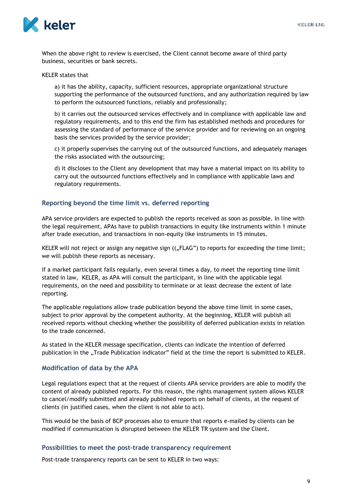

When the above right to review is exercised, the Client cannot become aware of third party business, securities or bank secrets.

KELER states that

a) it has the ability, capacity, sufficient resources, appropriate organizational structure supporting the performance of the outsourced functions, and any authorization required by law to perform the outsourced functions, reliably and professionally;

b) it carries out the outsourced services effectively and in compliance with applicable law and regulatory requirements, and to this end the firm has established methods and procedures for assessing the standard of performance of the service provider and for reviewing on an ongoing basis the services provided by the service provider;

c) it properly supervises the carrying out of the outsourced functions, and adequately manages the risks associated with the outsourcing;

d) it discloses to the Client any development that may have a material impact on its ability to carry out the outsourced functions effectively and in compliance with applicable laws and regulatory requirements.

#### **Reporting beyond the time limit vs. deferred reporting**

APA service providers are expected to publish the reports received as soon as possible. In line with the legal requirement, APAs have to publish transactions in equity like instruments within 1 minute after trade execution, and transactions in non-equity like instruments in 15 minutes.

KELER will not reject or assign any negative sign  $((, FLAG'')$  to reports for exceeding the time limit; we will publish these reports as necessary.

If a market participant fails regularly, even several times a day, to meet the reporting time limit stated in law, KELER, as APA will consult the participant, in line with the applicable legal requirements, on the need and possibility to terminate or at least decrease the extent of late reporting.

The applicable regulations allow trade publication beyond the above time limit in some cases, subject to prior approval by the competent authority. At the beginning, KELER will publish all received reports without checking whether the possibility of deferred publication exists in relation to the trade concerned.

As stated in the KELER message specification, clients can indicate the intention of deferred publication in the "Trade Publication indicator" field at the time the report is submitted to KELER.

#### **Modification of data by the APA**

Legal regulations expect that at the request of clients APA service providers are able to modify the content of already published reports. For this reason, the rights management system allows KELER to cancel/modify submitted and already published reports on behalf of clients, at the request of clients (in justified cases, when the client is not able to act).

This would be the basis of BCP processes also to ensure that reports e-mailed by clients can be modified if communication is disrupted between the KELER TR system and the Client.

#### **Possibilities to meet the post-trade transparency requirement**

Post-trade transparency reports can be sent to KELER in two ways: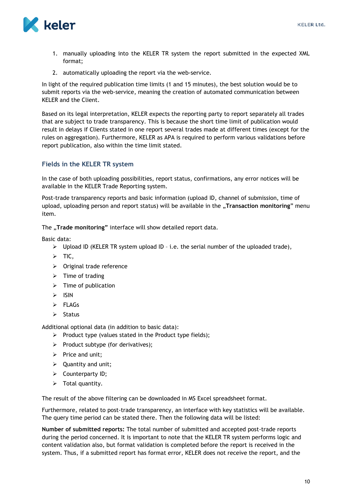

- 1. manually uploading into the KELER TR system the report submitted in the expected XML format;
- 2. automatically uploading the report via the web-service.

In light of the required publication time limits (1 and 15 minutes), the best solution would be to submit reports via the web-service, meaning the creation of automated communication between KELER and the Client.

Based on its legal interpretation, KELER expects the reporting party to report separately all trades that are subject to trade transparency. This is because the short time limit of publication would result in delays if Clients stated in one report several trades made at different times (except for the rules on aggregation). Furthermore, KELER as APA is required to perform various validations before report publication, also within the time limit stated.

# **Fields in the KELER TR system**

In the case of both uploading possibilities, report status, confirmations, any error notices will be available in the KELER Trade Reporting system.

Post-trade transparency reports and basic information (upload ID, channel of submission, time of upload, uploading person and report status) will be available in the "**Transaction monitoring**" menu item.

The "Trade monitoring" interface will show detailed report data.

Basic data:

- $\triangleright$  Upload ID (KELER TR system upload ID i.e. the serial number of the uploaded trade),
- $\triangleright$  TIC,
- $\triangleright$  Original trade reference
- $\triangleright$  Time of trading
- $\triangleright$  Time of publication
- $>$  ISIN
- $\triangleright$  FLAGs
- $\triangleright$  Status

Additional optional data (in addition to basic data):

- $\triangleright$  Product type (values stated in the Product type fields);
- $\triangleright$  Product subtype (for derivatives);
- $\triangleright$  Price and unit;
- $\triangleright$  Quantity and unit;
- > Counterparty ID;
- $\triangleright$  Total quantity.

The result of the above filtering can be downloaded in MS Excel spreadsheet format.

Furthermore, related to post-trade transparency, an interface with key statistics will be available. The query time period can be stated there. Then the following data will be listed:

**Number of submitted reports:** The total number of submitted and accepted post-trade reports during the period concerned. It is important to note that the KELER TR system performs logic and content validation also, but format validation is completed before the report is received in the system. Thus, if a submitted report has format error, KELER does not receive the report, and the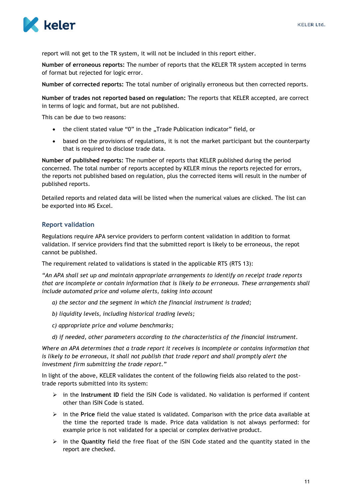

report will not get to the TR system, it will not be included in this report either.

**Number of erroneous reports:** The number of reports that the KELER TR system accepted in terms of format but rejected for logic error.

**Number of corrected reports:** The total number of originally erroneous but then corrected reports.

**Number of trades not reported based on regulation:** The reports that KELER accepted, are correct in terms of logic and format, but are not published.

This can be due to two reasons:

- the client stated value "0" in the "Trade Publication indicator" field, or
- based on the provisions of regulations, it is not the market participant but the counterparty that is required to disclose trade data.

**Number of published reports:** The number of reports that KELER published during the period concerned. The total number of reports accepted by KELER minus the reports rejected for errors, the reports not published based on regulation, plus the corrected items will result in the number of published reports.

Detailed reports and related data will be listed when the numerical values are clicked. The list can be exported into MS Excel.

# **Report validation**

Regulations require APA service providers to perform content validation in addition to format validation. If service providers find that the submitted report is likely to be erroneous, the repot cannot be published.

The requirement related to validations is stated in the applicable RTS (RTS 13):

*"An APA shall set up and maintain appropriate arrangements to identify on receipt trade reports that are incomplete or contain information that is likely to be erroneous. These arrangements shall include automated price and volume alerts, taking into account*

- *a) the sector and the segment in which the financial instrument is traded;*
- *b) liquidity levels, including historical trading levels;*
- *c) appropriate price and volume benchmarks;*
- *d) if needed, other parameters according to the characteristics of the financial instrument.*

*Where an APA determines that a trade report it receives is incomplete or contains information that is likely to be erroneous, it shall not publish that trade report and shall promptly alert the investment firm submitting the trade report."*

In light of the above, KELER validates the content of the following fields also related to the posttrade reports submitted into its system:

- in the **Instrument ID** field the ISIN Code is validated. No validation is performed if content other than ISIN Code is stated.
- in the **Price** field the value stated is validated. Comparison with the price data available at the time the reported trade is made. Price data validation is not always performed: for example price is not validated for a special or complex derivative product.
- $\triangleright$  in the **Quantity** field the free float of the ISIN Code stated and the quantity stated in the report are checked.